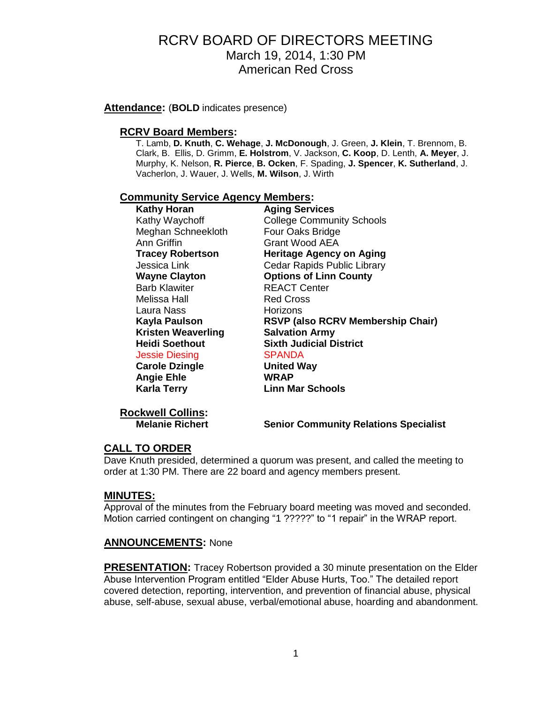**Attendance:** (**BOLD** indicates presence)

## **RCRV Board Members:**

T. Lamb, **D. Knuth**, **C. Wehage**, **J. McDonough**, J. Green, **J. Klein**, T. Brennom, B. Clark, B. Ellis, D. Grimm, **E. Holstrom**, V. Jackson, **C. Koop**, D. Lenth, **A. Meyer**, J. Murphy, K. Nelson, **R. Pierce**, **B. Ocken**, F. Spading, **J. Spencer**, **K. Sutherland**, J. Vacherlon, J. Wauer, J. Wells, **M. Wilson**, J. Wirth

#### **Community Service Agency Members:**

| <b>Kathy Horan</b>        | <b>Aging Services</b>                    |
|---------------------------|------------------------------------------|
| Kathy Waychoff            | <b>College Community Schools</b>         |
| Meghan Schneekloth        | Four Oaks Bridge                         |
| Ann Griffin               | Grant Wood AEA                           |
| <b>Tracey Robertson</b>   | <b>Heritage Agency on Aging</b>          |
| Jessica Link              | Cedar Rapids Public Library              |
| <b>Wayne Clayton</b>      | <b>Options of Linn County</b>            |
| <b>Barb Klawiter</b>      | <b>REACT Center</b>                      |
| Melissa Hall              | <b>Red Cross</b>                         |
| Laura Nass                | Horizons                                 |
| Kayla Paulson             | <b>RSVP (also RCRV Membership Chair)</b> |
| <b>Kristen Weaverling</b> | <b>Salvation Army</b>                    |
| Heidi Soethout            | <b>Sixth Judicial District</b>           |
| Jessie Diesing            | <b>SPANDA</b>                            |
| <b>Carole Dzingle</b>     | <b>United Way</b>                        |
| <b>Angie Ehle</b>         | <b>WRAP</b>                              |
| <b>Karla Terry</b>        | <b>Linn Mar Schools</b>                  |
|                           |                                          |

**Rockwell Collins:**

**Melanie Richert Senior Community Relations Specialist**

## **CALL TO ORDER**

Dave Knuth presided, determined a quorum was present, and called the meeting to order at 1:30 PM. There are 22 board and agency members present.

## **MINUTES:**

Approval of the minutes from the February board meeting was moved and seconded. Motion carried contingent on changing "1 ?????" to "1 repair" in the WRAP report.

## **ANNOUNCEMENTS:** None

**PRESENTATION:** Tracey Robertson provided a 30 minute presentation on the Elder Abuse Intervention Program entitled "Elder Abuse Hurts, Too." The detailed report covered detection, reporting, intervention, and prevention of financial abuse, physical abuse, self-abuse, sexual abuse, verbal/emotional abuse, hoarding and abandonment.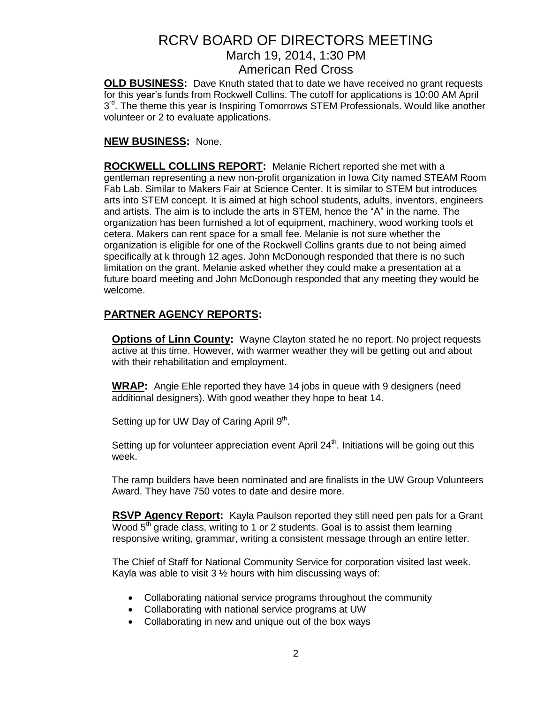**OLD BUSINESS:** Dave Knuth stated that to date we have received no grant requests for this year's funds from Rockwell Collins. The cutoff for applications is 10:00 AM April 3<sup>rd</sup>. The theme this year is Inspiring Tomorrows STEM Professionals. Would like another volunteer or 2 to evaluate applications.

## **NEW BUSINESS:** None.

**ROCKWELL COLLINS REPORT:** Melanie Richert reported she met with a gentleman representing a new non-profit organization in Iowa City named STEAM Room Fab Lab. Similar to Makers Fair at Science Center. It is similar to STEM but introduces arts into STEM concept. It is aimed at high school students, adults, inventors, engineers and artists. The aim is to include the arts in STEM, hence the "A" in the name. The organization has been furnished a lot of equipment, machinery, wood working tools et cetera. Makers can rent space for a small fee. Melanie is not sure whether the organization is eligible for one of the Rockwell Collins grants due to not being aimed specifically at k through 12 ages. John McDonough responded that there is no such limitation on the grant. Melanie asked whether they could make a presentation at a future board meeting and John McDonough responded that any meeting they would be welcome.

## **PARTNER AGENCY REPORTS:**

**Options of Linn County:** Wayne Clayton stated he no report. No project requests active at this time. However, with warmer weather they will be getting out and about with their rehabilitation and employment.

**WRAP:** Angie Ehle reported they have 14 jobs in queue with 9 designers (need additional designers). With good weather they hope to beat 14.

Setting up for UW Day of Caring April 9<sup>th</sup>.

Setting up for volunteer appreciation event April  $24<sup>th</sup>$ . Initiations will be going out this week.

The ramp builders have been nominated and are finalists in the UW Group Volunteers Award. They have 750 votes to date and desire more.

**RSVP Agency Report:** Kayla Paulson reported they still need pen pals for a Grant Wood  $5<sup>th</sup>$  grade class, writing to 1 or 2 students. Goal is to assist them learning responsive writing, grammar, writing a consistent message through an entire letter.

The Chief of Staff for National Community Service for corporation visited last week. Kayla was able to visit  $3\frac{1}{2}$  hours with him discussing ways of:

- Collaborating national service programs throughout the community
- Collaborating with national service programs at UW
- Collaborating in new and unique out of the box ways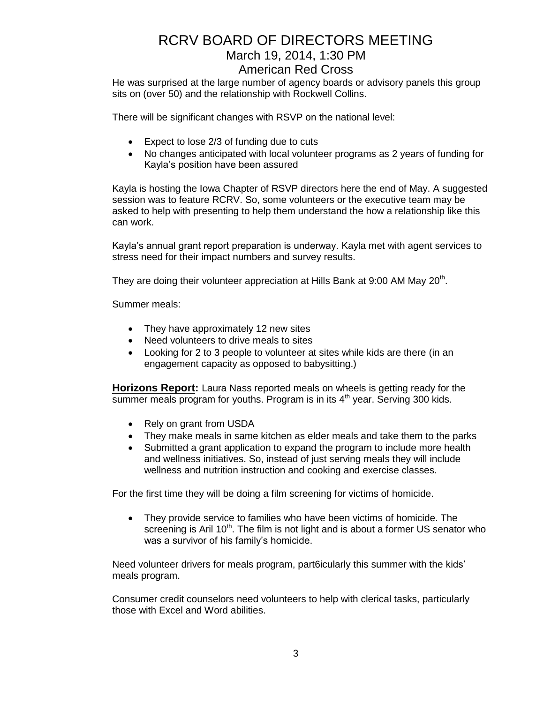# RCRV BOARD OF DIRECTORS MEETING March 19, 2014, 1:30 PM

American Red Cross

He was surprised at the large number of agency boards or advisory panels this group sits on (over 50) and the relationship with Rockwell Collins.

There will be significant changes with RSVP on the national level:

- Expect to lose 2/3 of funding due to cuts
- No changes anticipated with local volunteer programs as 2 years of funding for Kayla's position have been assured

Kayla is hosting the Iowa Chapter of RSVP directors here the end of May. A suggested session was to feature RCRV. So, some volunteers or the executive team may be asked to help with presenting to help them understand the how a relationship like this can work.

Kayla's annual grant report preparation is underway. Kayla met with agent services to stress need for their impact numbers and survey results.

They are doing their volunteer appreciation at Hills Bank at 9:00 AM May 20<sup>th</sup>.

Summer meals:

- They have approximately 12 new sites
- Need volunteers to drive meals to sites
- Looking for 2 to 3 people to volunteer at sites while kids are there (in an engagement capacity as opposed to babysitting.)

**Horizons Report:** Laura Nass reported meals on wheels is getting ready for the summer meals program for youths. Program is in its  $4<sup>th</sup>$  year. Serving 300 kids.

- Rely on grant from USDA
- They make meals in same kitchen as elder meals and take them to the parks
- Submitted a grant application to expand the program to include more health and wellness initiatives. So, instead of just serving meals they will include wellness and nutrition instruction and cooking and exercise classes.

For the first time they will be doing a film screening for victims of homicide.

 They provide service to families who have been victims of homicide. The screening is Aril  $10<sup>th</sup>$ . The film is not light and is about a former US senator who was a survivor of his family's homicide.

Need volunteer drivers for meals program, part6icularly this summer with the kids' meals program.

Consumer credit counselors need volunteers to help with clerical tasks, particularly those with Excel and Word abilities.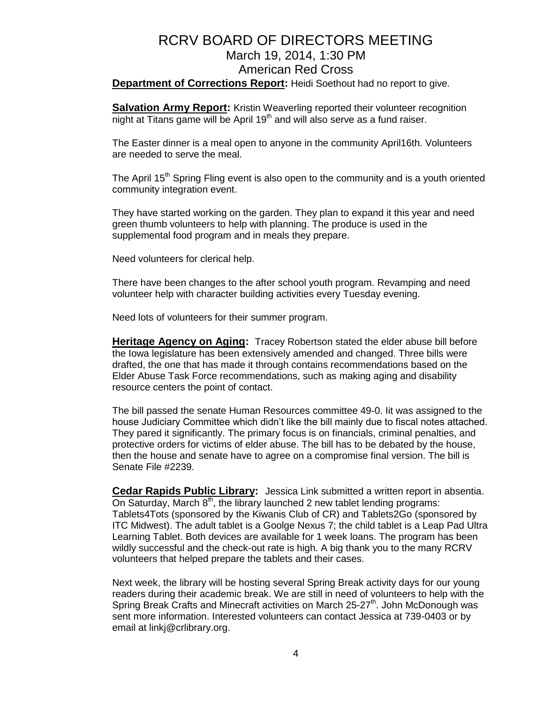## RCRV BOARD OF DIRECTORS MEETING March 19, 2014, 1:30 PM American Red Cross **Department of Corrections Report:** Heidi Soethout had no report to give.

**Salvation Army Report:** Kristin Weaverling reported their volunteer recognition night at Titans game will be April 19<sup>th</sup> and will also serve as a fund raiser.

The Easter dinner is a meal open to anyone in the community April16th. Volunteers are needed to serve the meal.

The April 15<sup>th</sup> Spring Fling event is also open to the community and is a youth oriented community integration event.

They have started working on the garden. They plan to expand it this year and need green thumb volunteers to help with planning. The produce is used in the supplemental food program and in meals they prepare.

Need volunteers for clerical help.

There have been changes to the after school youth program. Revamping and need volunteer help with character building activities every Tuesday evening.

Need lots of volunteers for their summer program.

**Heritage Agency on Aging:** Tracey Robertson stated the elder abuse bill before the Iowa legislature has been extensively amended and changed. Three bills were drafted, the one that has made it through contains recommendations based on the Elder Abuse Task Force recommendations, such as making aging and disability resource centers the point of contact.

The bill passed the senate Human Resources committee 49-0. Iit was assigned to the house Judiciary Committee which didn't like the bill mainly due to fiscal notes attached. They pared it significantly. The primary focus is on financials, criminal penalties, and protective orders for victims of elder abuse. The bill has to be debated by the house, then the house and senate have to agree on a compromise final version. The bill is Senate File #2239.

**Cedar Rapids Public Library:** Jessica Link submitted a written report in absentia. On Saturday, March  $8<sup>th</sup>$ , the library launched 2 new tablet lending programs: Tablets4Tots (sponsored by the Kiwanis Club of CR) and Tablets2Go (sponsored by ITC Midwest). The adult tablet is a Goolge Nexus 7; the child tablet is a Leap Pad Ultra Learning Tablet. Both devices are available for 1 week loans. The program has been wildly successful and the check-out rate is high. A big thank you to the many RCRV volunteers that helped prepare the tablets and their cases.

Next week, the library will be hosting several Spring Break activity days for our young readers during their academic break. We are still in need of volunteers to help with the Spring Break Crafts and Minecraft activities on March 25-27<sup>th</sup>. John McDonough was sent more information. Interested volunteers can contact Jessica at 739-0403 or by email at linkj@crlibrary.org.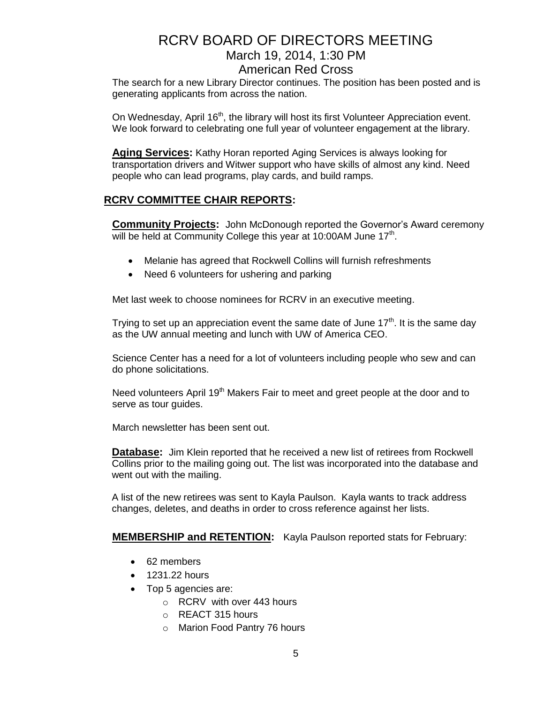The search for a new Library Director continues. The position has been posted and is generating applicants from across the nation.

On Wednesday, April 16<sup>th</sup>, the library will host its first Volunteer Appreciation event. We look forward to celebrating one full year of volunteer engagement at the library.

**Aging Services:** Kathy Horan reported Aging Services is always looking for transportation drivers and Witwer support who have skills of almost any kind. Need people who can lead programs, play cards, and build ramps.

## **RCRV COMMITTEE CHAIR REPORTS:**

**Community Projects:** John McDonough reported the Governor's Award ceremony will be held at Community College this year at 10:00AM June 17<sup>th</sup>.

- Melanie has agreed that Rockwell Collins will furnish refreshments
- Need 6 volunteers for ushering and parking

Met last week to choose nominees for RCRV in an executive meeting.

Trying to set up an appreciation event the same date of June  $17<sup>th</sup>$ . It is the same day as the UW annual meeting and lunch with UW of America CEO.

Science Center has a need for a lot of volunteers including people who sew and can do phone solicitations.

Need volunteers April  $19<sup>th</sup>$  Makers Fair to meet and greet people at the door and to serve as tour guides.

March newsletter has been sent out.

**Database:** Jim Klein reported that he received a new list of retirees from Rockwell Collins prior to the mailing going out. The list was incorporated into the database and went out with the mailing.

A list of the new retirees was sent to Kayla Paulson. Kayla wants to track address changes, deletes, and deaths in order to cross reference against her lists.

## **MEMBERSHIP and RETENTION:** Kayla Paulson reported stats for February:

- 62 members
- 1231.22 hours
- Top 5 agencies are:
	- o RCRV with over 443 hours
	- o REACT 315 hours
	- o Marion Food Pantry 76 hours